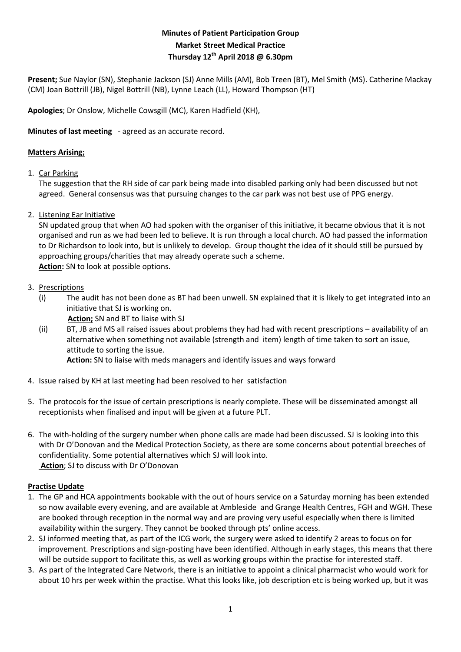# **Minutes of Patient Participation Group Market Street Medical Practice Thursday 12th April 2018 @ 6.30pm**

**Present;** Sue Naylor (SN), Stephanie Jackson (SJ) Anne Mills (AM), Bob Treen (BT), Mel Smith (MS). Catherine Mackay (CM) Joan Bottrill (JB), Nigel Bottrill (NB), Lynne Leach (LL), Howard Thompson (HT)

**Apologies**; Dr Onslow, Michelle Cowsgill (MC), Karen Hadfield (KH),

#### **Minutes of last meeting** - agreed as an accurate record.

#### **Matters Arising;**

1. Car Parking

The suggestion that the RH side of car park being made into disabled parking only had been discussed but not agreed. General consensus was that pursuing changes to the car park was not best use of PPG energy.

2. Listening Ear Initiative

SN updated group that when AO had spoken with the organiser of this initiative, it became obvious that it is not organised and run as we had been led to believe. It is run through a local church. AO had passed the information to Dr Richardson to look into, but is unlikely to develop. Group thought the idea of it should still be pursued by approaching groups/charities that may already operate such a scheme. **Action:** SN to look at possible options.

- 3. Prescriptions
	- (i) The audit has not been done as BT had been unwell. SN explained that it is likely to get integrated into an initiative that SJ is working on.

 **Action;** SN and BT to liaise with SJ

(ii) BT, JB and MS all raised issues about problems they had had with recent prescriptions – availability of an alternative when something not available (strength and item) length of time taken to sort an issue, attitude to sorting the issue.

**Action:** SN to liaise with meds managers and identify issues and ways forward

- 4. Issue raised by KH at last meeting had been resolved to her satisfaction
- 5. The protocols for the issue of certain prescriptions is nearly complete. These will be disseminated amongst all receptionists when finalised and input will be given at a future PLT.
- 6. The with-holding of the surgery number when phone calls are made had been discussed. SJ is looking into this with Dr O'Donovan and the Medical Protection Society, as there are some concerns about potential breeches of confidentiality. Some potential alternatives which SJ will look into. Action; SJ to discuss with Dr O'Donovan

#### **Practise Update**

- 1. The GP and HCA appointments bookable with the out of hours service on a Saturday morning has been extended so now available every evening, and are available at Ambleside and Grange Health Centres, FGH and WGH. These are booked through reception in the normal way and are proving very useful especially when there is limited availability within the surgery. They cannot be booked through pts' online access.
- 2. SJ informed meeting that, as part of the ICG work, the surgery were asked to identify 2 areas to focus on for improvement. Prescriptions and sign-posting have been identified. Although in early stages, this means that there will be outside support to facilitate this, as well as working groups within the practise for interested staff.
- 3. As part of the Integrated Care Network, there is an initiative to appoint a clinical pharmacist who would work for about 10 hrs per week within the practise. What this looks like, job description etc is being worked up, but it was